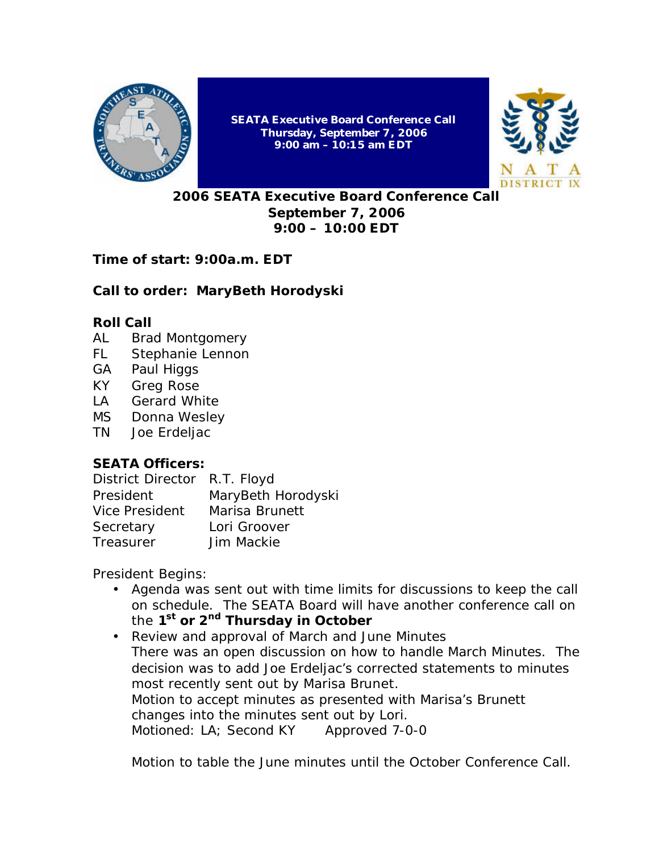

**SEATA Executive Board Conference Call Thursday, September 7, 2006 9:00 am – 10:15 am EDT**



**2006 SEATA Executive Board Conference Call September 7, 2006 9:00 – 10:00 EDT**

# **Time of start: 9:00a.m. EDT**

### **Call to order: MaryBeth Horodyski**

#### **Roll Call**

- AL Brad Montgomery
- FL Stephanie Lennon
- GA Paul Higgs
- KY Greg Rose
- LA Gerard White
- MS Donna Wesley
- TN Joe Erdeljac

# **SEATA Officers:**

| District Director R.T. Floyd |                    |
|------------------------------|--------------------|
| President                    | MaryBeth Horodyski |
| <b>Vice President</b>        | Marisa Brunett     |
| Secretary                    | Lori Groover       |
| Treasurer                    | Jim Mackie         |

President Begins:

- Agenda was sent out with time limits for discussions to keep the call on schedule. The SEATA Board will have another conference call on the **1 st or 2nd Thursday in October**
- Review and approval of March and June Minutes There was an open discussion on how to handle March Minutes. The decision was to add Joe Erdeljac's corrected statements to minutes most recently sent out by Marisa Brunet. Motion to accept minutes as presented with Marisa's Brunett changes into the minutes sent out by Lori. Motioned: LA; Second KY Approved 7-0-0

Motion to table the June minutes until the October Conference Call.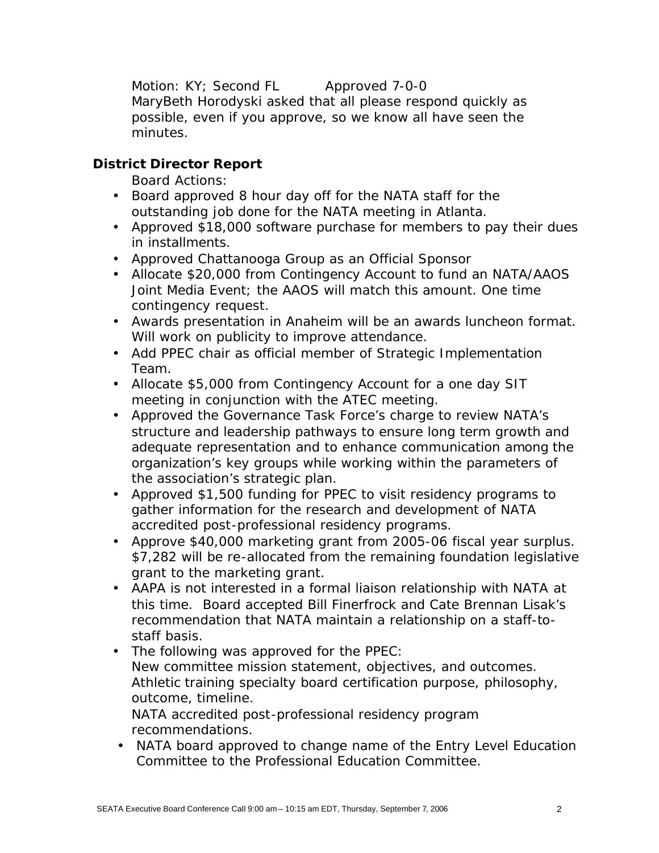Motion: KY; Second FL Approved 7-0-0 MaryBeth Horodyski asked that all please respond quickly as possible, even if you approve, so we know all have seen the minutes.

## **District Director Report**

Board Actions:

- Board approved 8 hour day off for the NATA staff for the outstanding job done for the NATA meeting in Atlanta.
- Approved \$18,000 software purchase for members to pay their dues in installments.
- Approved Chattanooga Group as an Official Sponsor
- Allocate \$20,000 from Contingency Account to fund an NATA/AAOS Joint Media Event; the AAOS will match this amount. One time contingency request.
- Awards presentation in Anaheim will be an awards luncheon format. Will work on publicity to improve attendance.
- Add PPEC chair as official member of Strategic Implementation Team.
- Allocate \$5,000 from Contingency Account for a one day SIT meeting in conjunction with the ATEC meeting.
- Approved the Governance Task Force's charge to review NATA's structure and leadership pathways to ensure long term growth and adequate representation and to enhance communication among the organization's key groups while working within the parameters of the association's strategic plan.
- Approved \$1,500 funding for PPEC to visit residency programs to gather information for the research and development of NATA accredited post-professional residency programs.
- Approve \$40,000 marketing grant from 2005-06 fiscal year surplus. \$7,282 will be re-allocated from the remaining foundation legislative grant to the marketing grant.
- AAPA is not interested in a formal liaison relationship with NATA at this time. Board accepted Bill Finerfrock and Cate Brennan Lisak's recommendation that NATA maintain a relationship on a staff-tostaff basis.
- The following was approved for the PPEC: New committee mission statement, objectives, and outcomes. Athletic training specialty board certification purpose, philosophy, outcome, timeline. NATA accredited post-professional residency program recommendations.
- NATA board approved to change name of the Entry Level Education Committee to the Professional Education Committee.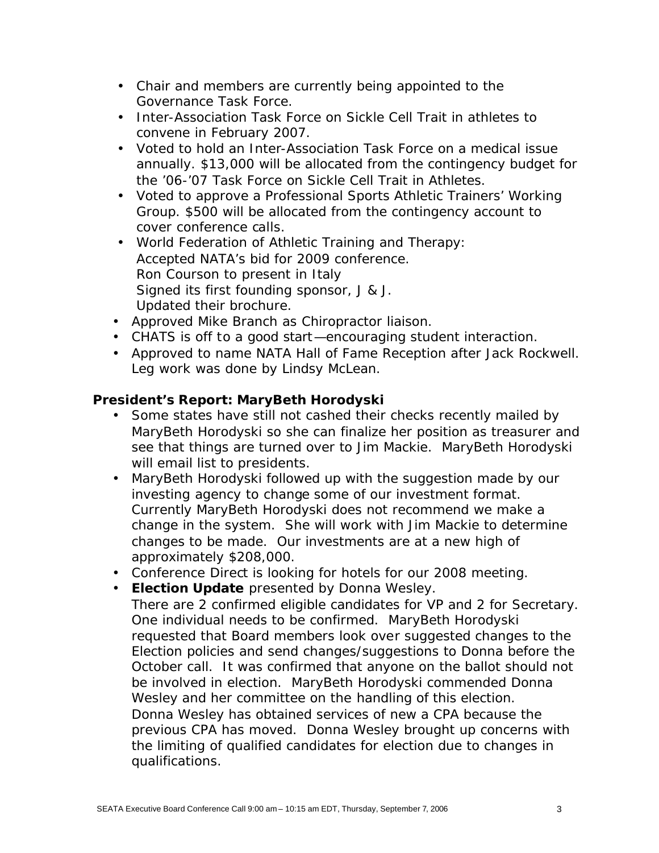- Chair and members are currently being appointed to the Governance Task Force.
- Inter-Association Task Force on Sickle Cell Trait in athletes to convene in February 2007.
- Voted to hold an Inter-Association Task Force on a medical issue annually. \$13,000 will be allocated from the contingency budget for the '06-'07 Task Force on Sickle Cell Trait in Athletes.
- Voted to approve a Professional Sports Athletic Trainers' Working Group. \$500 will be allocated from the contingency account to cover conference calls.
- World Federation of Athletic Training and Therapy: Accepted NATA's bid for 2009 conference. Ron Courson to present in Italy Signed its first founding sponsor, J & J. Updated their brochure.
- Approved Mike Branch as Chiropractor liaison.
- CHATS is off to a good start—encouraging student interaction.
- Approved to name NATA Hall of Fame Reception after Jack Rockwell. Leg work was done by Lindsy McLean.

### **President's Report: MaryBeth Horodyski**

- Some states have still not cashed their checks recently mailed by MaryBeth Horodyski so she can finalize her position as treasurer and see that things are turned over to Jim Mackie. MaryBeth Horodyski will email list to presidents.
- MaryBeth Horodyski followed up with the suggestion made by our investing agency to change some of our investment format. Currently MaryBeth Horodyski does not recommend we make a change in the system. She will work with Jim Mackie to determine changes to be made. Our investments are at a new high of approximately \$208,000.
- Conference Direct is looking for hotels for our 2008 meeting. • **Election Update** presented by Donna Wesley. There are 2 confirmed eligible candidates for VP and 2 for Secretary. One individual needs to be confirmed. MaryBeth Horodyski requested that Board members look over suggested changes to the Election policies and send changes/suggestions to Donna before the October call. It was confirmed that anyone on the ballot should not be involved in election. MaryBeth Horodyski commended Donna Wesley and her committee on the handling of this election. Donna Wesley has obtained services of new a CPA because the previous CPA has moved. Donna Wesley brought up concerns with the limiting of qualified candidates for election due to changes in qualifications.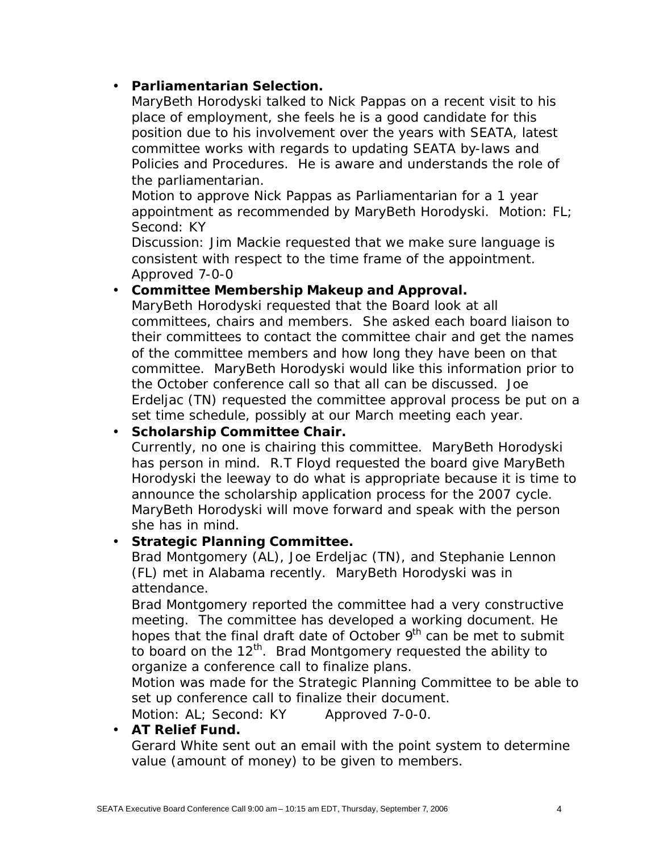### • **Parliamentarian Selection.**

MaryBeth Horodyski talked to Nick Pappas on a recent visit to his place of employment, she feels he is a good candidate for this position due to his involvement over the years with SEATA, latest committee works with regards to updating SEATA by-laws and Policies and Procedures. He is aware and understands the role of the parliamentarian.

Motion to approve Nick Pappas as Parliamentarian for a 1 year appointment as recommended by MaryBeth Horodyski. Motion: FL; Second: KY

Discussion: Jim Mackie requested that we make sure language is consistent with respect to the time frame of the appointment. Approved 7-0-0

#### • **Committee Membership Makeup and Approval.**

MaryBeth Horodyski requested that the Board look at all committees, chairs and members. She asked each board liaison to their committees to contact the committee chair and get the names of the committee members and how long they have been on that committee. MaryBeth Horodyski would like this information prior to the October conference call so that all can be discussed. Joe Erdeljac (TN) requested the committee approval process be put on a set time schedule, possibly at our March meeting each year.

## • **Scholarship Committee Chair.**

Currently, no one is chairing this committee. MaryBeth Horodyski has person in mind. R.T Floyd requested the board give MaryBeth Horodyski the leeway to do what is appropriate because it is time to announce the scholarship application process for the 2007 cycle. MaryBeth Horodyski will move forward and speak with the person she has in mind.

# • **Strategic Planning Committee.**

Brad Montgomery (AL), Joe Erdeljac (TN), and Stephanie Lennon (FL) met in Alabama recently. MaryBeth Horodyski was in attendance.

Brad Montgomery reported the committee had a very constructive meeting. The committee has developed a working document. He hopes that the final draft date of October 9<sup>th</sup> can be met to submit to board on the 12<sup>th</sup>. Brad Montgomery requested the ability to organize a conference call to finalize plans.

Motion was made for the Strategic Planning Committee to be able to set up conference call to finalize their document.

Motion: AL; Second: KY Approved 7-0-0.

#### • **AT Relief Fund.**

Gerard White sent out an email with the point system to determine value (amount of money) to be given to members.